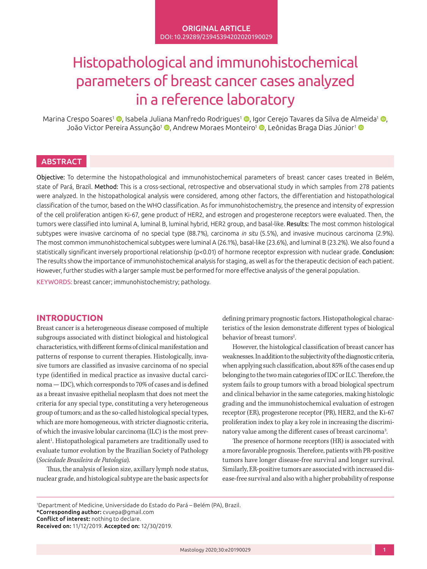# Histopathological and immunohistochemical parameters of breast cancer cases analyzed in a reference laboratory

Marina Crespo Soares<sup>1</sup> (**D**[,](http://orcid.org/0000-0002-6266-4596) Isabela Juliana Manfredo Rodrigues<sup>1</sup> (**D**, Igor Cerejo Tavares da Silva de Almeida<sup>1</sup> (**D**, João Victor Pereira Assunção<sup>1</sup> ([,](http://orcid.org/0000-0002-3549-881X) Andrew Moraes Monteiro<sup>1</sup> (, Leônidas Braga Dias Júnior<sup>1</sup> ()

# **ABSTRACT**

Objective: To determine the histopathological and immunohistochemical parameters of breast cancer cases treated in Belém, state of Pará, Brazil. Method: This is a cross-sectional, retrospective and observational study in which samples from 278 patients were analyzed. In the histopathological analysis were considered, among other factors, the differentiation and histopathological classification of the tumor, based on the WHO classification. As for immunohistochemistry, the presence and intensity of expression of the cell proliferation antigen Ki-67, gene product of HER2, and estrogen and progesterone receptors were evaluated. Then, the tumors were classified into luminal A, luminal B, luminal hybrid, HER2 group, and basal-like. Results: The most common histological subtypes were invasive carcinoma of no special type (88.7%), carcinoma *in situ* (5.5%), and invasive mucinous carcinoma (2.9%). The most common immunohistochemical subtypes were luminal A (26.1%), basal-like (23.6%), and luminal B (23.2%). We also found a statistically significant inversely proportional relationship (p<0.01) of hormone receptor expression with nuclear grade. Conclusion: The results show the importance of immunohistochemical analysis for staging, as well as for the therapeutic decision of each patient. However, further studies with a larger sample must be performed for more effective analysis of the general population.

KEYWORDS: breast cancer; immunohistochemistry; pathology.

# **INTRODUCTION**

Breast cancer is a heterogeneous disease composed of multiple subgroups associated with distinct biological and histological characteristics, with different forms of clinical manifestation and patterns of response to current therapies. Histologically, invasive tumors are classified as invasive carcinoma of no special type (identified in medical practice as invasive ductal carcinoma — IDC), which corresponds to 70% of cases and is defined as a breast invasive epithelial neoplasm that does not meet the criteria for any special type, constituting a very heterogeneous group of tumors; and as the so-called histological special types, which are more homogeneous, with stricter diagnostic criteria, of which the invasive lobular carcinoma (ILC) is the most prevalent<sup>1</sup>. Histopathological parameters are traditionally used to evaluate tumor evolution by the Brazilian Society of Pathology (*Sociedade Brasileira de Patologia*).

Thus, the analysis of lesion size, axillary lymph node status, nuclear grade, and histological subtype are the basic aspects for defining primary prognostic factors. Histopathological characteristics of the lesion demonstrate different types of biological behavior of breast tumors<sup>2</sup>. .

However, the histological classification of breast cancer has weaknesses. In addition to the subjectivity of the diagnostic criteria, when applying such classification, about 85% of the cases end up belonging to the two main categories of IDC or ILC. Therefore, the system fails to group tumors with a broad biological spectrum and clinical behavior in the same categories, making histologic grading and the immunohistochemical evaluation of estrogen receptor (ER), progesterone receptor (PR), HER2, and the Ki-67 proliferation index to play a key role in increasing the discriminatory value among the different cases of breast carcinoma<sup>3</sup>. .

The presence of hormone receptors (HR) is associated with a more favorable prognosis. Therefore, patients with PR-positive tumors have longer disease-free survival and longer survival. Similarly, ER-positive tumors are associated with increased disease-free survival and also with a higher probability of response

<sup>1</sup> Department of Medicine, Universidade do Estado do Pará – Belém (PA), Brazil. \*Corresponding author: [cvuepa@gmail.com](mailto:cvuepa@gmail.com) Conflict of interest: nothing to declare. Received on: 11/12/2019. Accepted on: 12/30/2019.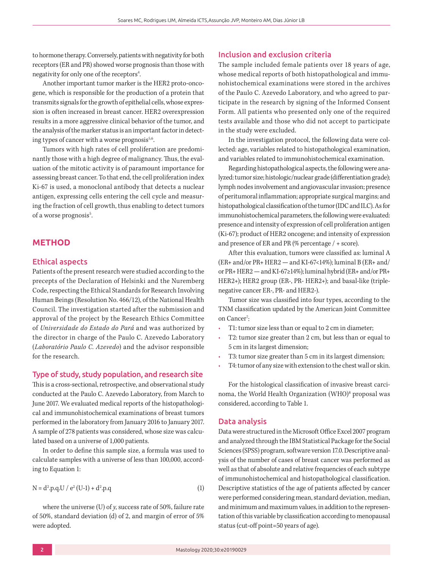to hormone therapy. Conversely, patients with negativity for both receptors (ER and PR) showed worse prognosis than those with negativity for only one of the receptors<sup>4</sup>. .

Another important tumor marker is the HER2 proto-oncogene, which is responsible for the production of a protein that transmits signals for the growth of epithelial cells, whose expression is often increased in breast cancer. HER2 overexpression results in a more aggressive clinical behavior of the tumor, and the analysis of the marker status is an important factor in detecting types of cancer with a worse prognosis<sup>5,6</sup>.

Tumors with high rates of cell proliferation are predominantly those with a high degree of malignancy. Thus, the evaluation of the mitotic activity is of paramount importance for assessing breast cancer. To that end, the cell proliferation index Ki-67 is used, a monoclonal antibody that detects a nuclear antigen, expressing cells entering the cell cycle and measuring the fraction of cell growth, thus enabling to detect tumors of a worse prognosis<sup>5</sup>. .

# **METHOD**

## Ethical aspects

Patients of the present research were studied according to the precepts of the Declaration of Helsinki and the Nuremberg Code, respecting the Ethical Standards for Research Involving Human Beings (Resolution No. 466/12), of the National Health Council. The investigation started after the submission and approval of the project by the Research Ethics Committee of *Universidade do Estado do Pará* and was authorized by the director in charge of the Paulo C. Azevedo Laboratory (*Laboratório Paulo C. Azevedo*) and the advisor responsible for the research.

### Type of study, study population, and research site

This is a cross-sectional, retrospective, and observational study conducted at the Paulo C. Azevedo Laboratory, from March to June 2017. We evaluated medical reports of the histopathological and immunohistochemical examinations of breast tumors performed in the laboratory from January 2016 to January 2017. A sample of 278 patients was considered, whose size was calculated based on a universe of 1,000 patients.

In order to define this sample size, a formula was used to calculate samples with a universe of less than 100,000, according to Equation 1:

$$
N = d^{2}.p.q.U / e^{2}(U-1) + d^{2}.p.q
$$
 (1)

where the universe (U) of *y*, success rate of 50%, failure rate of 50%, standard deviation (d) of 2, and margin of error of 5% were adopted.

# Inclusion and exclusion criteria

The sample included female patients over 18 years of age, whose medical reports of both histopathological and immunohistochemical examinations were stored in the archives of the Paulo C. Azevedo Laboratory, and who agreed to participate in the research by signing of the Informed Consent Form. All patients who presented only one of the required tests available and those who did not accept to participate in the study were excluded.

In the investigation protocol, the following data were collected: age, variables related to histopathological examination, and variables related to immunohistochemical examination.

Regarding histopathological aspects, the following were analyzed: tumor size; histologic/nuclear grade (differentiation grade); lymph nodes involvement and angiovascular invasion; presence of peritumoral inflammation; appropriate surgical margins; and histopathological classification of the tumor (IDC and ILC). As for immunohistochemical parameters, the following were evaluated: presence and intensity of expression of cell proliferation antigen (Ki-67); product of HER2 oncogene; and intensity of expression and presence of ER and PR (% percentage / + score).

After this evaluation, tumors were classified as: luminal A  $(ER+ and/or PR+ HER2 - and KI-67<14%)$ ; luminal B  $(ER+ and/$ or PR+ HER2 — and KI-67≥14%); luminal hybrid (ER+ and/or PR+ HER2+); HER2 group (ER-, PR- HER2+); and basal-like (triplenegative cancer ER-, PR- and HER2-).

Tumor size was classified into four types, according to the TNM classification updated by the American Joint Committee on Cancer<sup>7</sup>:

- T1: tumor size less than or equal to 2 cm in diameter;
- T2: tumor size greater than 2 cm, but less than or equal to 5 cm in its largest dimension;
- T3: tumor size greater than 5 cm in its largest dimension;
- T4: tumor of any size with extension to the chest wall or skin.

For the histological classification of invasive breast carcinoma, the World Health Organization (WHO)<sup>8</sup> proposal was considered, according to Table 1.

#### Data analysis

Data were structured in the Microsoft Office Excel 2007 program and analyzed through the IBM Statistical Package for the Social Sciences (SPSS) program, software version 17.0. Descriptive analysis of the number of cases of breast cancer was performed as well as that of absolute and relative frequencies of each subtype of immunohistochemical and histopathological classification. Descriptive statistics of the age of patients affected by cancer were performed considering mean, standard deviation, median, and minimum and maximum values, in addition to the representation of this variable by classification according to menopausal status (cut-off point=50 years of age).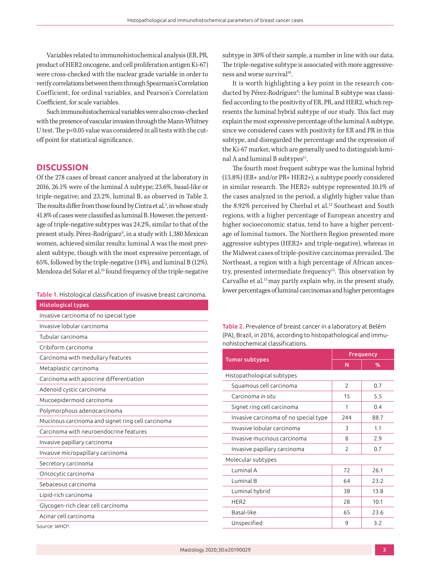Variables related to immunohistochemical analysis (ER, PR, product of HER2 oncogene, and cell proliferation antigen Ki-67) were cross-checked with the nuclear grade variable in order to verify correlations between them through Spearman's Correlation Coefficient, for ordinal variables, and Pearson's Correlation Coefficient, for scale variables.

Such immunohistochemical variables were also cross-checked with the presence of vascular invasion through the Mann-Whitney U test. The p<0.05 value was considered in all tests with the cutoff point for statistical significance.

# **DISCUSSION**

Of the 278 cases of breast cancer analyzed at the laboratory in 2016, 26.1% were of the luminal A subtype; 23.6%, basal-like or triple-negative; and 23.2%, luminal B, as observed in Table 2. The results differ from those found by Cintra et al.<sup>5</sup>, in whose study 41.8% of cases were classified as luminal B. However, the percentage of triple-negative subtypes was 24.2%, similar to that of the present study. Pérez-Rodríguez<sup>9</sup>, in a study with 1,380 Mexican women, achieved similar results: luminal A was the most prevalent subtype, though with the most expressive percentage, of 65%, followed by the triple-negative (14%), and luminal B (12%). Mendoza del Solar et al.<sup>10</sup> found frequency of the triple-negative

| <b>Histological types</b>                         |
|---------------------------------------------------|
| Invasive carcinoma of no special type             |
| Invasive lobular carcinoma                        |
| Tubular carcinoma                                 |
| Cribiform carcinoma                               |
| Carcinoma with medullary features                 |
| Metaplastic carcinoma                             |
| Carcinoma with apocrine differentiation           |
| Adenoid cystic carcinoma                          |
| Mucoepidermoid carcinoma                          |
| Polymorphous adenocarcinoma                       |
| Mucinous carcinoma and signet ring cell carcinoma |
| Carcinoma with neuroendocrine features            |
| Invasive papillary carcinoma                      |
| Invasive micropapillary carcinoma                 |
| Secretory carcinoma                               |
| Oncocytic carcinoma                               |
| Sebaceous carcinoma                               |
| Lipid-rich carcinoma                              |
| Glycogen-rich clear cell carcinoma                |
| Acinar cell carcinoma                             |

Source: WHO8.

subtype in 30% of their sample, a number in line with our data. The triple-negative subtype is associated with more aggressiveness and worse survival<sup>10</sup>.

It is worth highlighting a key point in the research conducted by Pérez-Rodríguez<sup>9</sup>: the luminal B subtype was classified according to the positivity of ER, PR, and HER2, which represents the luminal hybrid subtype of our study. This fact may explain the most expressive percentage of the luminal A subtype, since we considered cases with positivity for ER and PR in this subtype, and disregarded the percentage and the expression of the Ki-67 marker, which are generally used to distinguish luminal A and luminal B subtypes $11$ .

The fourth most frequent subtype was the luminal hybrid (13.8%) (ER+ and/or PR+ HER2+), a subtype poorly considered in similar research. The HER2+ subtype represented 10.1% of the cases analyzed in the period, a slightly higher value than the 8.92% perceived by Cherbal et al.<sup>12</sup> Southeast and South regions, with a higher percentage of European ancestry and higher socioeconomic status, tend to have a higher percentage of luminal tumors. The Northern Region presented more aggressive subtypes (HER2+ and triple-negative), whereas in the Midwest cases of triple-positive carcinomas prevailed. The Northeast, a region with a high percentage of African ancestry, presented intermediate frequency<sup>13</sup>. This observation by Carvalho et al.<sup>13</sup> may partly explain why, in the present study, lower percentages of luminal carcinomas and higher percentages Table 1. Histological classification of invasive breast carcinoma.

> Table 2. Prevalence of breast cancer in a laboratory at Belém (PA), Brazil, in 2016, according to histopathological and immunohistochemical classifications.

|                                       | <b>Frequency</b> |      |  |  |  |
|---------------------------------------|------------------|------|--|--|--|
| <b>Tumor subtypes</b>                 | N                | %    |  |  |  |
| Histopathological subtypes            |                  |      |  |  |  |
| Squamous cell carcinoma               | $\overline{2}$   | 0.7  |  |  |  |
| Carcinoma <i>in situ</i>              | 15               | 5.5  |  |  |  |
| Signet ring cell carcinoma            | 1                | 0.4  |  |  |  |
| Invasive carcinoma of no special type | 244              | 88.7 |  |  |  |
| Invasive lobular carcinoma            | 3                | 1.1  |  |  |  |
| Invasive mucinous carcinoma           | 8                | 2.9  |  |  |  |
| Invasive papillary carcinoma          | $\overline{2}$   | 0.7  |  |  |  |
| Molecular subtypes                    |                  |      |  |  |  |
| Luminal A                             | 72               | 26.1 |  |  |  |
| Luminal B                             | 64               | 23.2 |  |  |  |
| Luminal hybrid                        | 38               | 13.8 |  |  |  |
| HER <sub>2</sub>                      | 28               | 10.1 |  |  |  |
| Basal-like                            | 65               | 23.6 |  |  |  |
| Unspecified                           | 9                | 3.2  |  |  |  |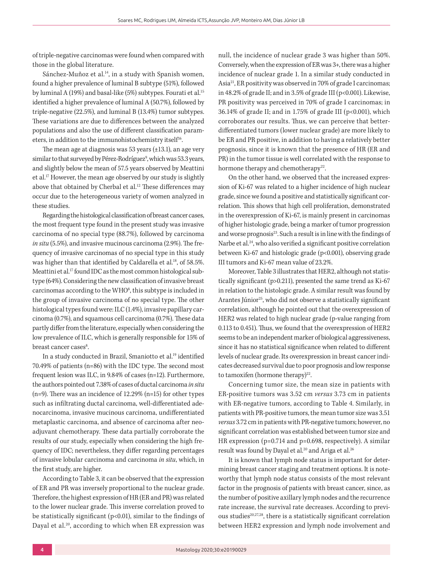of triple-negative carcinomas were found when compared with those in the global literature.

Sánchez-Muñoz et al.<sup>14</sup>, in a study with Spanish women, found a higher prevalence of luminal B subtype (51%), followed by luminal A (19%) and basal-like (5%) subtypes. Fourati et al.<sup>15</sup> identified a higher prevalence of luminal A (50.7%), followed by triple-negative (22.5%), and luminal B (13.4%) tumor subtypes. These variations are due to differences between the analyzed populations and also the use of different classification parameters, in addition to the immunohistochemistry itself<sup>16</sup>.

The mean age at diagnosis was 53 years (±13.1), an age very similar to that surveyed by Pérez-Rodríguez<sup>9</sup>, which was 53.3 years, and slightly below the mean of 57.5 years observed by Meattini et al.17 However, the mean age observed by our study is slightly above that obtained by Cherbal et al.<sup>12</sup> These differences may occur due to the heterogeneous variety of women analyzed in these studies.

Regarding the histological classification of breast cancer cases, the most frequent type found in the present study was invasive carcinoma of no special type (88.7%), followed by carcinoma *in situ* (5.5%), and invasive mucinous carcinoma (2.9%). The frequency of invasive carcinomas of no special type in this study was higher than that identified by Caldarella et al.<sup>18</sup>, of 58.5%. Meattini et al.<sup>17</sup> found IDC as the most common histological subtype (64%). Considering the new classification of invasive breast carcinomas according to the WHO<sup>8</sup>, this subtype is included in the group of invasive carcinoma of no special type. The other histological types found were: ILC (1.4%), invasive papillary carcinoma (0.7%), and squamous cell carcinoma (0.7%). These data partly differ from the literature, especially when considering the low prevalence of ILC, which is generally responsible for 15% of breast cancer cases<sup>8</sup>. .

In a study conducted in Brazil, Smaniotto et al.19 identified 70.49% of patients (n=86) with the IDC type. The second most frequent lesion was ILC, in 9.84% of cases (n=12). Furthermore, the authors pointed out 7.38% of cases of ductal carcinoma *in situ* (n=9). There was an incidence of 12.29% (n=15) for other types such as infiltrating ductal carcinoma, well-differentiated adenocarcinoma, invasive mucinous carcinoma, undifferentiated metaplastic carcinoma, and absence of carcinoma after neoadjuvant chemotherapy. These data partially corroborate the results of our study, especially when considering the high frequency of IDC; nevertheless, they differ regarding percentages of invasive lobular carcinoma and carcinoma *in situ*, which, in the first study, are higher.

According to Table 3, it can be observed that the expression of ER and PR was inversely proportional to the nuclear grade. Therefore, the highest expression of HR (ER and PR) was related to the lower nuclear grade. This inverse correlation proved to be statistically significant (p<0.01), similar to the findings of Dayal et al.<sup>20</sup>, according to which when ER expression was

null, the incidence of nuclear grade 3 was higher than 50%. Conversely, when the expression of ER was 3+, there was a higher incidence of nuclear grade 1. In a similar study conducted in Asia21, ER positivity was observed in 70% of grade I carcinomas; in 48.2% of grade II; and in 3.5% of grade III (p<0.001). Likewise, PR positivity was perceived in 70% of grade I carcinomas; in  $36.14\%$  of grade II; and in 1.75% of grade III (p<0.001), which corroborates our results. Thus, we can perceive that betterdifferentiated tumors (lower nuclear grade) are more likely to be ER and PR positive, in addition to having a relatively better prognosis, since it is known that the presence of HR (ER and PR) in the tumor tissue is well correlated with the response to hormone therapy and chemotherapy<sup>22</sup>.

On the other hand, we observed that the increased expression of Ki-67 was related to a higher incidence of high nuclear grade, since we found a positive and statistically significant correlation. This shows that high cell proliferation, demonstrated in the overexpression of Ki-67, is mainly present in carcinomas of higher histologic grade, being a marker of tumor progression and worse prognosis<sup>23</sup>. Such a result is in line with the findings of Narbe et al.<sup>24</sup>, who also verified a significant positive correlation between Ki-67 and histologic grade (p<0.001), observing grade III tumors and Ki-67 mean value of 23.2%.

Moreover, Table 3 illustrates that HER2, although not statistically significant (p>0.211), presented the same trend as Ki-67 in relation to the histologic grade. A similar result was found by Arantes Júnior<sup>25</sup>, who did not observe a statistically significant correlation, although he pointed out that the overexpression of HER2 was related to high nuclear grade (p-value ranging from 0.113 to 0.451). Thus, we found that the overexpression of HER2 seems to be an independent marker of biological aggressiveness, since it has no statistical significance when related to different levels of nuclear grade. Its overexpression in breast cancer indicates decreased survival due to poor prognosis and low response to tamoxifen (hormone therapy) $^{22}$ .

Concerning tumor size, the mean size in patients with ER-positive tumors was 3.52 cm *versus* 3.73 cm in patients with ER-negative tumors, according to Table 4. Similarly, in patients with PR-positive tumors, the mean tumor size was 3.51 *versus* 3.72 cm in patients with PR-negative tumors; however, no significant correlation was established between tumor size and HR expression (p=0.714 and p=0.698, respectively). A similar result was found by Dayal et al.<sup>20</sup> and Ariga et al.<sup>26</sup>

It is known that lymph node status is important for determining breast cancer staging and treatment options. It is noteworthy that lymph node status consists of the most relevant factor in the prognosis of patients with breast cancer, since, as the number of positive axillary lymph nodes and the recurrence rate increase, the survival rate decreases. According to previous studies<sup>20,27,28</sup>, there is a statistically significant correlation between HER2 expression and lymph node involvement and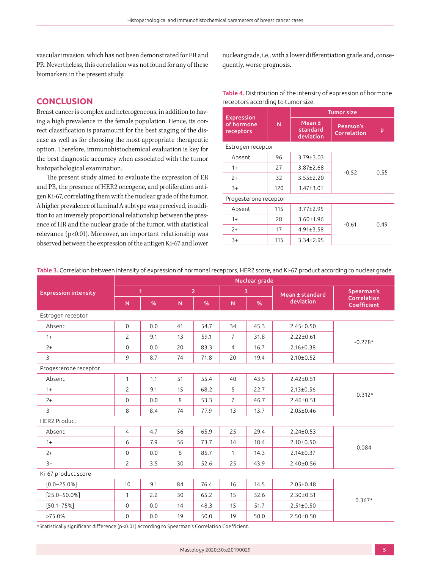vascular invasion, which has not been demonstrated for ER and PR. Nevertheless, this correlation was not found for any of these biomarkers in the present study.

# **CONCLUSION**

Breast cancer is complex and heterogeneous, in addition to having a high prevalence in the female population. Hence, its correct classification is paramount for the best staging of the disease as well as for choosing the most appropriate therapeutic option. Therefore, immunohistochemical evaluation is key for the best diagnostic accuracy when associated with the tumor histopathological examination.

The present study aimed to evaluate the expression of ER and PR, the presence of HER2 oncogene, and proliferation antigen Ki-67, correlating them with the nuclear grade of the tumor. A higher prevalence of luminal A subtype was perceived, in addition to an inversely proportional relationship between the presence of HR and the nuclear grade of the tumor, with statistical relevance (p<0.01). Moreover, an important relationship was observed between the expression of the antigen Ki-67 and lower nuclear grade, i.e., with a lower differentiation grade and, consequently, worse prognosis.

| Table 4. Distribution of the intensity of expression of hormone |  |
|-----------------------------------------------------------------|--|
| receptors according to tumor size.                              |  |

|                                              |     | <b>Tumor size</b>               |                          |      |  |  |
|----------------------------------------------|-----|---------------------------------|--------------------------|------|--|--|
| <b>Expression</b><br>of hormone<br>receptors | N   | Mean ±<br>standard<br>deviation | Pearson's<br>Correlation | p    |  |  |
| Estrogen receptor                            |     |                                 |                          |      |  |  |
| Absent                                       | 96  | $3.79 \pm 3.03$                 |                          | 0.55 |  |  |
| $1+$                                         | 27  | $3.87 \pm 2.68$                 | $-0.52$                  |      |  |  |
| $2+$                                         | 32  | $3.55 \pm 2.20$                 |                          |      |  |  |
| $3+$                                         | 120 | $3.47 \pm 3.01$                 |                          |      |  |  |
| Progesterone receptor                        |     |                                 |                          |      |  |  |
| Absent                                       | 115 | $3.77 \pm 2.95$                 |                          |      |  |  |
| $1+$                                         | 28  | $3.60 \pm 1.96$                 | $-0.61$                  | 0.49 |  |  |
| $2+$                                         | 17  | $4.91 \pm 3.58$                 |                          |      |  |  |
| $3+$                                         | 115 | $3.34 \pm 2.95$                 |                          |      |  |  |

|                             | Nuclear grade  |     |                |      |                |      |                 |                            |
|-----------------------------|----------------|-----|----------------|------|----------------|------|-----------------|----------------------------|
| <b>Expression intensity</b> | $\overline{1}$ |     | $\overline{2}$ |      | 3              |      | Mean ± standard | Spearman's                 |
|                             | N              | %   | ${\sf N}$      | %    | N              | %    | deviation       | Correlation<br>Coefficient |
| Estrogen receptor           |                |     |                |      |                |      |                 |                            |
| Absent                      | $\mathbf{0}$   | 0.0 | 41             | 54.7 | 34             | 45.3 | $2.45 \pm 0.50$ | $-0.278*$                  |
| $1+$                        | $\overline{2}$ | 9.1 | 13             | 59.1 | $\overline{7}$ | 31.8 | $2.22 \pm 0.61$ |                            |
| $2+$                        | $\mathbf 0$    | 0.0 | 20             | 83.3 | $\overline{4}$ | 16.7 | $2.16 \pm 0.38$ |                            |
| $3+$                        | 9              | 8.7 | 74             | 71.8 | 20             | 19.4 | $2.10 \pm 0.52$ |                            |
| Progesterone receptor       |                |     |                |      |                |      |                 |                            |
| Absent                      | $\mathbf{1}$   | 1.1 | 51             | 55.4 | 40             | 43.5 | $2.42 \pm 0.51$ |                            |
| $1+$                        | $\overline{2}$ | 9.1 | 15             | 68.2 | 5              | 22.7 | $2.13 \pm 0.56$ | $-0.312*$                  |
| $2+$                        | $\mathbf{0}$   | 0.0 | 8              | 53.3 | $\overline{7}$ | 46.7 | $2.46 \pm 0.51$ |                            |
| $3+$                        | 8              | 8.4 | 74             | 77.9 | 13             | 13.7 | $2.05 \pm 0.46$ |                            |
| <b>HER2 Product</b>         |                |     |                |      |                |      |                 |                            |
| Absent                      | 4              | 4.7 | 56             | 65.9 | 25             | 29.4 | $2.24 \pm 0.53$ |                            |
| $1+$                        | 6              | 7.9 | 56             | 73.7 | 14             | 18.4 | $2.10 \pm 0.50$ | 0.084                      |
| $2+$                        | $\mathbf 0$    | 0.0 | 6              | 85.7 | $\mathbf{1}$   | 14.3 | $2.14 \pm 0.37$ |                            |
| $3+$                        | $\overline{2}$ | 3.5 | 30             | 52.6 | 25             | 43.9 | $2.40 \pm 0.56$ |                            |
| Ki-67 product score         |                |     |                |      |                |      |                 |                            |
| $[0.0 - 25.0\%]$            | 10             | 9.1 | 84             | 76,4 | 16             | 14.5 | $2.05 \pm 0.48$ | $0.367*$                   |
| $[25.0 - 50.0\%]$           | $\mathbf{1}$   | 2.2 | 30             | 65.2 | 15             | 32.6 | $2.30 \pm 0.51$ |                            |
| $[50.1 - 75\%]$             | $\mathbf 0$    | 0.0 | 14             | 48.3 | 15             | 51.7 | $2.51 \pm 0.50$ |                            |
| $>75.0\%$                   | 0              | 0.0 | 19             | 50.0 | 19             | 50.0 | $2.50 \pm 0.50$ |                            |

Table 3. Correlation between intensity of expression of hormonal receptors, HER2 score, and Ki-67 product according to nuclear grade.

\*Statistically significant difference (p<0.01) according to Spearman's Correlation Coefficient.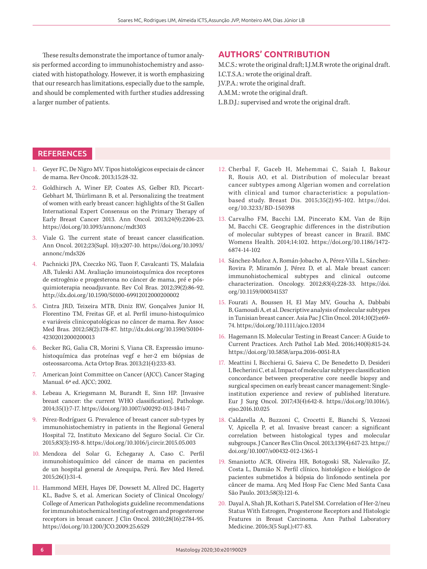These results demonstrate the importance of tumor analysis performed according to immunohistochemistry and associated with histopathology. However, it is worth emphasizing that our research has limitations, especially due to the sample, and should be complemented with further studies addressing a larger number of patients.

# **AUTHORS' CONTRIBUTION**

M.C.S.: wrote the original draft; I.J.M.R wrote the original draft. I.C.T.S.A.: wrote the original draft. J.V.P.A.: wrote the original draft.

A.M.M.: wrote the original draft.

L.B.D.J.: supervised and wrote the original draft.

# **REFERENCES**

- 1. Geyer FC, De Nigro MV. Tipos histológicos especiais de câncer de mama. Rev Onco&. 2013;15:28-32.
- 2. Goldhirsch A, Winer EP, Coates AS, Gelber RD, Piccart-Gebhart M, Thürlimann B, et al. Personalizing the treatment of women with early breast cancer: highlights of the St Gallen International Expert Consensus on the Primary Therapy of Early Breast Cancer 2013. Ann Oncol. 2013;24(9):2206-23. <https://doi.org/10.1093/annonc/mdt303>
- 3. Viale G. The current state of breast cancer classification. Ann Oncol. 2012;23(Supl. 10):x207-10. [https://doi.org/10.1093/](https://doi.org/10.1093/annonc/mds326) [annonc/mds326](https://doi.org/10.1093/annonc/mds326)
- 4. Pachnicki JPA, Czeczko NG, Tuon F, Cavalcanti TS, Malafaia AB, Tuleski AM. Avaliação imunoistoquímica dos receptores de estrogênio e progesterona no câncer de mama, pré e pósquimioterapia neoadjuvante. Rev Col Bras. 2012;39(2):86-92. <http://dx.doi.org/10.1590/S0100-69912012000200002>
- 5. Cintra JRD, Teixeira MTB, Diniz RW, Gonçalves Junior H, Florentino TM, Freitas GF, et al. Perfil imuno-histoquímico e variáveis clinicopatológicas no câncer de mama. Rev Assoc Med Bras. 2012;58(2):178-87. [http://dx.doi.org/10.1590/S0104-](http://dx.doi.org/10.1590/S0104-42302012000200013) [42302012000200013](http://dx.doi.org/10.1590/S0104-42302012000200013)
- 6. Becker RG, Galia CR, Morini S, Viana CR. Expressão imunohistoquímica das proteínas vegf e her-2 em biópsias de osteossarcoma. Acta Ortop Bras. 2013;21(4):233-83.
- 7. American Joint Committee on Cancer (AJCC). Cancer Staging Manual. 6ª ed. AJCC; 2002.
- 8. Lebeau A, Kriegsmann M, Burandt E, Sinn HP. [Invasive breast cancer: the current WHO classification]. Pathologe. 2014;35(1):7-17.<https://doi.org/10.1007/s00292-013-1841-7>
- Pérez-Rodríguez G. Prevalence of breast cancer sub-types by immunohistochemistry in patients in the Regional General Hospital 72, Instituto Mexicano del Seguro Social. Cir Cir. 2015;83(3):193-8.<https://doi.org/10.1016/j.circir.2015.05.003>
- 10. Mendoza del Solar G, Echegaray A, Caso C. Perfil inmunohistoquímico del cáncer de mama en pacientes de un hospital general de Arequipa, Perú. Rev Med Hered. 2015;26(1):31-4.
- 11. Hammond MEH, Hayes DF, Dowsett M, Allred DC, Hagerty KL, Badve S, et al. American Society of Clinical Oncology/ College of American Pathologists guideline recommendations for immunohistochemical testing of estrogen and progesterone receptors in breast cancer. J Clin Oncol. 2010;28(16):2784-95. <https://doi.org/10.1200/JCO.2009.25.6529>
- 12. Cherbal F, Gaceb H, Mehemmai C, Saiah I, Bakour R, Rouis AO, et al. Distribution of molecular breast cancer subtypes among Algerian women and correlation with clinical and tumor characteristics: a populationbased study. Breast Dis. 2015;35(2):95-102. [https://doi.](https://doi.org/10.3233/BD-150398) [org/10.3233/BD-150398](https://doi.org/10.3233/BD-150398)
- 13. Carvalho FM, Bacchi LM, Pincerato KM, Van de Rijn M, Bacchi CE. Geographic differences in the distribution of molecular subtypes of breast cancer in Brazil. BMC Womens Health. 2014;14:102. [https://doi.org/10.1186/1472-](https://doi.org/10.1186/1472-6874-14-102) [6874-14-102](https://doi.org/10.1186/1472-6874-14-102)
- 14. Sánchez-Muñoz A, Román-Jobacho A, Pérez-Villa L, Sánchez-Rovira P, Miramón J, Pérez D, et al. Male breast cancer: immunohistochemical subtypes and clinical outcome characterization. Oncology. 2012;83(4):228-33. [https://doi.](https://doi.org/10.1159/000341537) [org/10.1159/000341537](https://doi.org/10.1159/000341537)
- 15. Fourati A, Boussen H, El May MV, Goucha A, Dabbabi B, Gamoudi A, et al. Descriptive analysis of molecular subtypes in Tunisian breast cancer. Asia Pac J Clin Oncol. 2014;10(2):e69- 74.<https://doi.org/10.1111/ajco.12034>
- 16. Hagemann IS. Molecular Testing in Breast Cancer: A Guide to Current Practices. Arch Pathol Lab Med. 2016;140(8):815-24. <https://doi.org/10.5858/arpa.2016-0051-RA>
- 17. Meattini I, Bicchierai G, Saieva C, De Benedetto D, Desideri I, Becherini C, et al. Impact of molecular subtypes classification concordance between preoperative core needle biopsy and surgical specimen on early breast cancer management: Singleinstitution experience and review of published literature. Eur J Surg Oncol. 2017;43(4):642-8. [https://doi.org/10.1016/j.](https://doi.org/10.1016/j.ejso.2016.10.025) [ejso.2016.10.025](https://doi.org/10.1016/j.ejso.2016.10.025)
- 18. Caldarella A, Buzzoni C, Crocetti E, Bianchi S, Vezzosi V, Apicella P, et al. Invasive breast cancer: a significant correlation between histological types and molecular subgroups. J Cancer Res Clin Oncol. 2013;139(4):617-23. [https://](https://doi.org/10.1007/s00432-012-1365-1) [doi.org/10.1007/s00432-012-1365-1](https://doi.org/10.1007/s00432-012-1365-1)
- 19. Smaniotto ACR, Oliveira HR, Botogoski SR, Nalevaiko JZ, Costa L, Damião N. Perfil clínico, histológico e biológico de pacientes submetidos à biópsia do linfonodo sentinela por câncer de mama. Arq Med Hosp Fac Cienc Med Santa Casa São Paulo. 2013;58(3):121-6.
- 20. Dayal A, Shah JR, Kothari S, Patel SM. Correlation of Her-2/neu Status With Estrogen, Progesterone Receptors and Histologic Features in Breast Carcinoma. Ann Pathol Laboratory Medicine. 2016;3(5 Supl.):477-83.